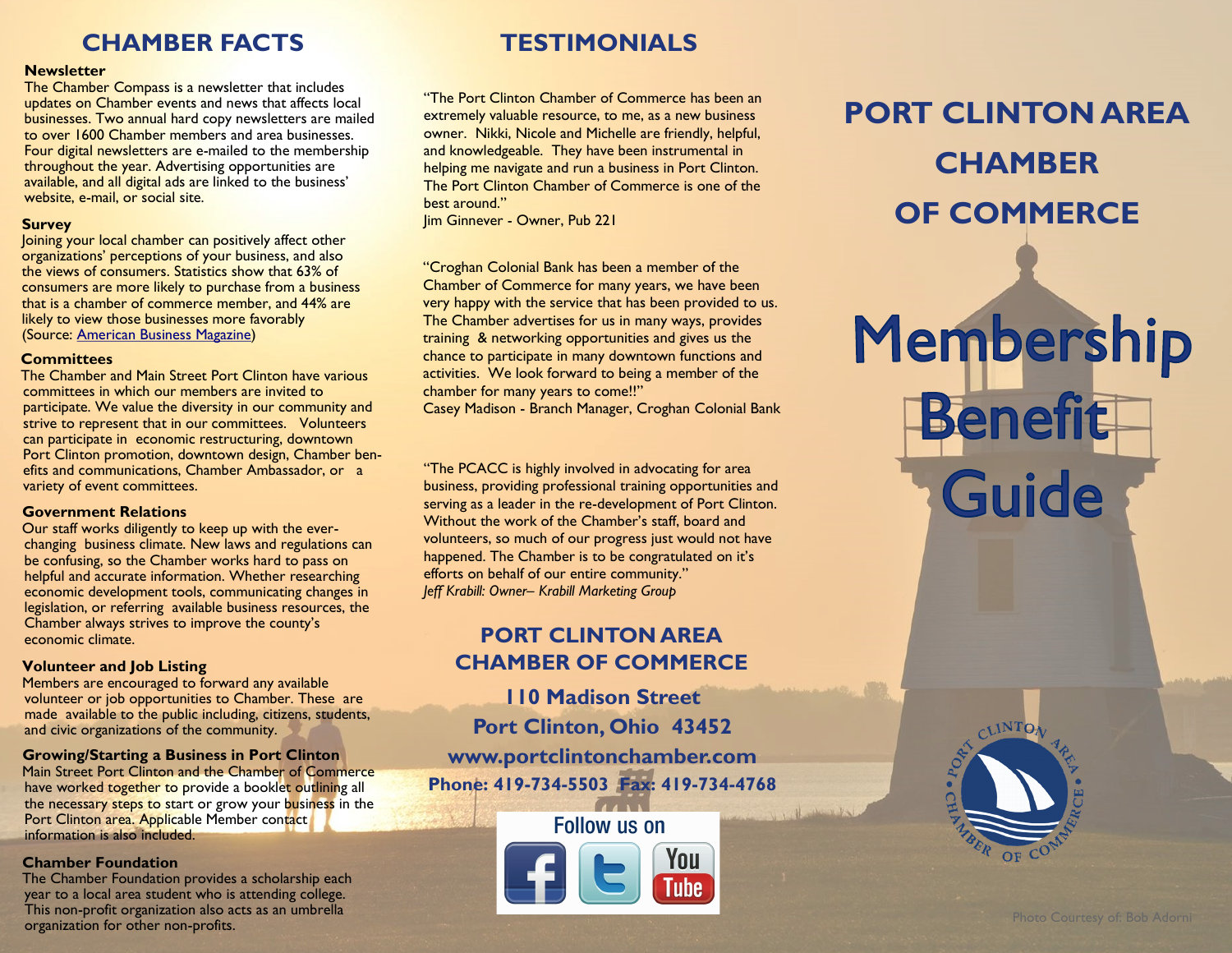### **CHAMBER FACTS**

### **Newsletter**

The Chamber Compass is a newsletter that includes updates on Chamber events and news that affects local businesses. Two annual hard copy newsletters are mailed to over 1600 Chamber members and area businesses. Four digital newsletters are e-mailed to the membership throughout the year. Advertising opportunities are available, and all digital ads are linked to the business' website, e-mail, or social site.

### **Survey**

Joining your local chamber can positively affect other organizations' perceptions of your business, and also the views of consumers. Statistics show that 63% of consumers are more likely to purchase from a business that is a chamber of commerce member, and 44% are likely to view those businesses more favorably (Source: [American Business Magazine\)](http://www.americanbusinessmag.com/2012/05/why-join-your-local-chamber-of-commerce/) 

### **Committees**

 The Chamber and Main Street Port Clinton have various committees in which our members are invited to participate. We value the diversity in our community and strive to represent that in our committees. Volunteers can participate in economic restructuring, downtown Port Clinton promotion, downtown design, Chamber benefits and communications, Chamber Ambassador, or a variety of event committees.

### **Government Relations**

 Our staff works diligently to keep up with the everchanging business climate. New laws and regulations can be confusing, so the Chamber works hard to pass on helpful and accurate information. Whether researching economic development tools, communicating changes in legislation, or referring available business resources, the Chamber always strives to improve the county's economic climate.

### **Volunteer and Job Listing**

 Members are encouraged to forward any available volunteer or job opportunities to Chamber. These are made available to the public including, citizens, students, and civic organizations of the community.

### **Growing/Starting a Business in Port Clinton**

 Main Street Port Clinton and the Chamber of Commerce have worked together to provide a booklet outlining all the necessary steps to start or grow your business in the Port Clinton area. Applicable Member contact information is also included.

### **Chamber Foundation**

 The Chamber Foundation provides a scholarship each year to a local area student who is attending college. This non-profit organization also acts as an umbrella organization for other non-profits.

### **TESTIMONIALS**

"The Port Clinton Chamber of Commerce has been an extremely valuable resource, to me, as a new business owner. Nikki, Nicole and Michelle are friendly, helpful, and knowledgeable. They have been instrumental in helping me navigate and run a business in Port Clinton. The Port Clinton Chamber of Commerce is one of the best around."

Jim Ginnever - Owner, Pub 221

"Croghan Colonial Bank has been a member of the Chamber of Commerce for many years, we have been very happy with the service that has been provided to us. The Chamber advertises for us in many ways, provides training & networking opportunities and gives us the chance to participate in many downtown functions and activities. We look forward to being a member of the chamber for many years to come!!"

Casey Madison - Branch Manager, Croghan Colonial Bank

"The PCACC is highly involved in advocating for area business, providing professional training opportunities and serving as a leader in the re-development of Port Clinton. Without the work of the Chamber's staff, board and volunteers, so much of our progress just would not have happened. The Chamber is to be congratulated on it's efforts on behalf of our entire community." *Jeff Krabill: Owner– Krabill Marketing Group* 

### **PORT CLINTON AREA CHAMBER OF COMMERCE**

**110 Madison Street Port Clinton, Ohio 43452 www.portclintonchamber.com Phone: 419-734-5503 Fax: 419-734-4768**

### **Follow us on**



## **PORT CLINTON AREA CHAMBER OF COMMERCE**

# Membership **Benefit** Guide